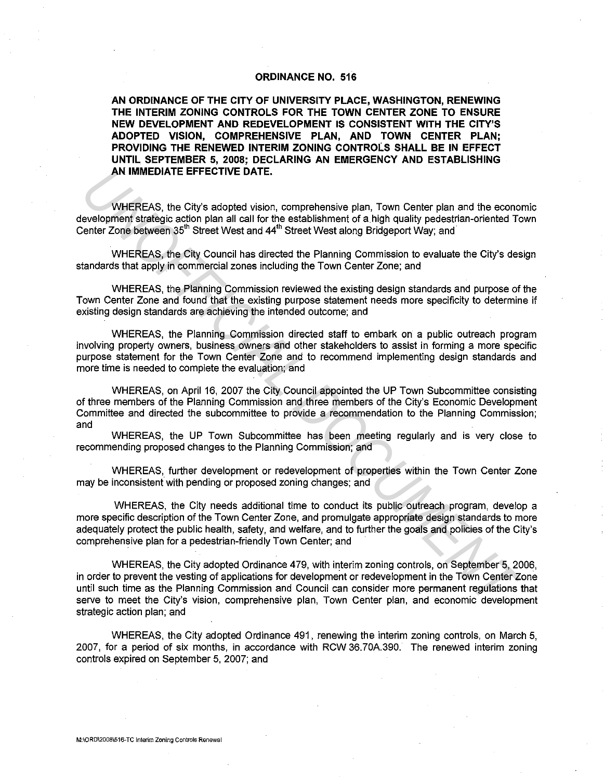## **ORDINANCE NO. 516**

**AN ORDINANCE OF THE CITY OF UNIVERSITY PLACE, WASHINGTON, RENEWING THE INTERIM ZONING CONTROLS FOR THE TOWN CENTER ZONE TO ENSURE NEW DEVELOPMENT AND REDEVELOPMENT IS CONSISTENT WITH THE CITY'S ADOPTED VISION, COMPREHENSIVE PLAN, AND TOWN CENTER PLAN; PROVIDING THE RENEWED INTERIM ZONING CONTROLS SHALL BE IN EFFECT UNTIL SEPTEMBER 5, 2008; DECLARING AN EMERGENCY AND ESTABLISHING AN IMMEDIATE EFFECTIVE DATE.** 

WHEREAS, the City's adopted vision, comprehensive plan, Town Center plan and the economic development strategic action plan all call for the establishment of a high quality pedestrian-oriented Town Center Zone between 35<sup>th</sup> Street West and 44<sup>th</sup> Street West along Bridgeport Way; and

WHEREAS, the City Council has directed the Planning Commission to evaluate the City's design standards that apply in commercial zones including the Town Center Zone; and

WHEREAS, the Planning Commission reviewed the existing design standards and purpose of the Town Center Zone and found that the existing purpose statement needs more specificity to determine if existing design standards are achieving the intended outcome; and

WHEREAS, the Planning Commission directed staff to embark on a public outreach program involving property owners, business owners and other stakeholders to assist in forming a more specific purpose statement for the Town Center Zone and to recommend implementing design standards and more time is needed to complete the evaluation; and

WHEREAS, on April 16, 2007 the City Council appointed the UP Town Subcommittee consisting of three members of the Planning Commission and three members of the City's Economic Development Committee and directed the subcommittee to provide a recommendation to the Planning Commission; and

WHEREAS, the UP Town Subcommittee has been meeting regularly and is very close to recommending proposed changes to the Planning Commission; and

WHEREAS, further development or redevelopment of properties within the Town Center Zone may be inconsistent with pending or proposed zoning changes; and

WHEREAS, the City needs additional time to conduct its public outreach program, develop a more specific description of the Town Center Zone, and promulgate appropriate design standards to more adequately protect the public health, safety, and welfare, and to further the goals and policies of the City's comprehensive plan for a pedestrian-friendly Town Center; and

WHEREAS, the City adopted Ordinance 479, with interim zoning controls, on September 5, 2006, in order to prevent the vesting of applications for development or redevelopment in the Town Center Zone until such time as the Planning Commission and Council can consider more permanent regulations that serve to meet the City's vision, comprehensive plan, Town Center plan, and economic development strategic action plan; and **AN IMMEDIATE EFFECTIVE DATE.**<br> **WHEREAS, the City's adopted vision, comprehensive plan, Town Center plan and the economolophine fartespic addio plan all coll for the establishment of a high quality pedestrian-oriented To** 

WHEREAS, the City adopted Ordinance 491, renewing the interim zoning controls, on March 5, 2007, for a period of six months, in accordance with RCW 36.70A.390. The renewed interim zoning controls expired on September 5, 2007; and